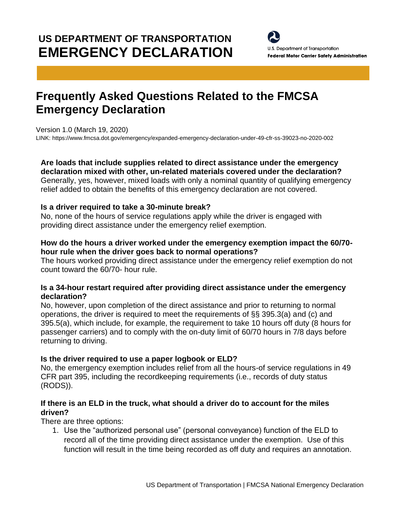# **US DEPARTMENT OF TRANSPORTATION EMERGENCY DECLARATION**

U.S. Department of Transportation **Federal Motor Carrier Safety Administration** 

## **Frequently Asked Questions Related to the FMCSA Emergency Declaration**

Version 1.0 (March 19, 2020)

LINK[: https://www.fmcsa.dot.gov/emergency/expanded-emergency-declaration-under-49-cfr-ss-39023-no-2020-002](https://www.fmcsa.dot.gov/emergency/expanded-emergency-declaration-under-49-cfr-ss-39023-no-2020-002)

### **Are loads that include supplies related to direct assistance under the emergency**

**declaration mixed with other, un-related materials covered under the declaration?** Generally, yes, however, mixed loads with only a nominal quantity of qualifying emergency relief added to obtain the benefits of this emergency declaration are not covered.

#### **Is a driver required to take a 30-minute break?**

No, none of the hours of service regulations apply while the driver is engaged with providing direct assistance under the emergency relief exemption.

#### **How do the hours a driver worked under the emergency exemption impact the 60/70 hour rule when the driver goes back to normal operations?**

The hours worked providing direct assistance under the emergency relief exemption do not count toward the 60/70- hour rule.

#### **Is a 34-hour restart required after providing direct assistance under the emergency declaration?**

No, however, upon completion of the direct assistance and prior to returning to normal operations, the driver is required to meet the requirements of §§ 395.3(a) and (c) and 395.5(a), which include, for example, the requirement to take 10 hours off duty (8 hours for passenger carriers) and to comply with the on-duty limit of 60/70 hours in 7/8 days before returning to driving.

#### **Is the driver required to use a paper logbook or ELD?**

No, the emergency exemption includes relief from all the hours-of service regulations in 49 CFR part 395, including the recordkeeping requirements (i.e., records of duty status (RODS)).

#### **If there is an ELD in the truck, what should a driver do to account for the miles driven?**

There are three options:

1. Use the "authorized personal use" (personal conveyance) function of the ELD to record all of the time providing direct assistance under the exemption. Use of this function will result in the time being recorded as off duty and requires an annotation.